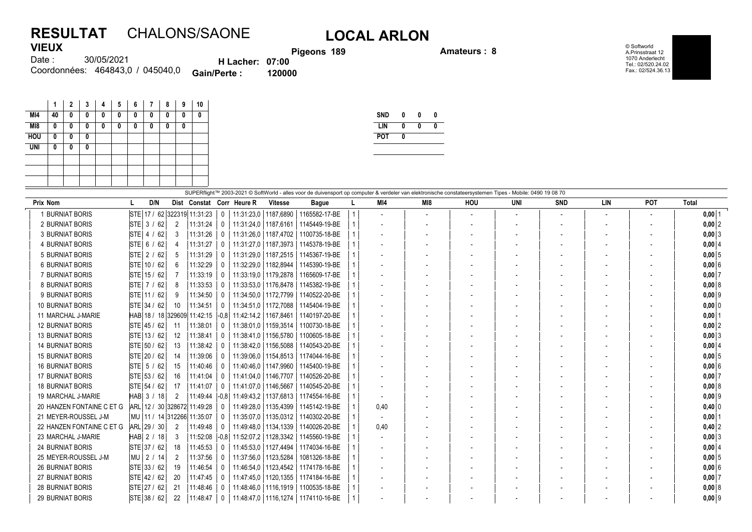## **RESULTAT** CHALONS/SAONE **LOCAL ARLON VIEUX**

**Pigeons 189 Amateurs : 8**

© Softworld A.Prinsstraat 12 1070 Anderlecht Tel.: 02/520.24.02 Fax.: 02/524.36.13

| . <i>.</i> |                                  |                        |        |
|------------|----------------------------------|------------------------|--------|
| Date :     | 30/05/2021                       | <b>H</b> Lacher: 07:00 |        |
|            | Coordonnées: 464843,0 / 045040,0 | <b>Gain/Perte:</b>     | 120000 |

|            | 1  | 2 | 3 | 4 | 5 | 6 | 7 | 8 | 9 | 10       |
|------------|----|---|---|---|---|---|---|---|---|----------|
| MI4        | 40 | 0 | 0 | 0 | 0 | 0 | 0 | 0 | 0 | 0        |
| M18        | 0  | 0 | 0 | 0 | 0 | 0 | 0 | 0 | 0 |          |
| <b>HOU</b> | 0  | 0 | O |   |   |   |   |   |   |          |
| <b>UNI</b> | 0  | O | n |   |   |   |   |   |   |          |
|            |    |   |   |   |   |   |   |   |   |          |
|            |    |   |   |   |   |   |   |   |   |          |
|            |    |   |   |   |   |   |   |   |   |          |
|            |    |   |   |   |   |   |   |   |   | 0.100000 |

| <b>SND</b> | 0 | N |  |
|------------|---|---|--|
| I IN       | Λ | 0 |  |
| <b>POT</b> | 0 |   |  |
|            |   |   |  |

| SUPERflight™ 2003-2021 © SoftWorld - alles voor de duivensport op computer & verdeler van elektronische constateersystemen Tipes - Mobile: 0490 19 08 70 |                                |    |          |                  |                                              |                        |                                        |  |                          |                          |     |     |            |     |            |              |
|----------------------------------------------------------------------------------------------------------------------------------------------------------|--------------------------------|----|----------|------------------|----------------------------------------------|------------------------|----------------------------------------|--|--------------------------|--------------------------|-----|-----|------------|-----|------------|--------------|
| Prix Nom                                                                                                                                                 | D/N                            |    |          |                  | Dist Constat Corr Heure R                    | <b>Vitesse</b>         | <b>Bague</b>                           |  | MI4                      | MI8                      | HOU | UNI | <b>SND</b> | LIN | <b>POT</b> | <b>Total</b> |
| 1 BURNIAT BORIS                                                                                                                                          | STE 17 / 62 322319 11:31:23    |    |          | $\mathbf{0}$     | 11:31:23.0   1187.6890                       |                        | 1165582-17-BE                          |  |                          | $\overline{\phantom{a}}$ |     |     |            |     |            | $0,00$ 1     |
| 2 BURNIAT BORIS                                                                                                                                          | $STE$ 3 / 62                   | 2  | 11:31:24 | 0 <sup>1</sup>   | 11:31:24.0   1187.6161                       |                        | 1145449-19-BE                          |  |                          |                          |     |     |            |     |            | $0,00$ 2     |
| <b>3 BURNIAT BORIS</b>                                                                                                                                   | $STE$ 4 /<br>62                | 3  | 11:31:26 | 0                | 11:31:26.0   1187.4702                       |                        | 1100735-18-BE                          |  | $\overline{\phantom{a}}$ |                          |     |     |            |     |            | $0,00$ 3     |
| <b>4 BURNIAT BORIS</b>                                                                                                                                   | STE  6 / 62                    |    | 11:31:27 | $\mathbf{0}$     | 11:31:27.0   1187.3973                       |                        | 1145378-19-BE                          |  |                          |                          |     |     |            |     |            | $0,00$ 4     |
| <b>5 BURNIAT BORIS</b>                                                                                                                                   | $STE$ 2 / 62                   | 5  | 11:31:29 | 0                |                                              |                        | 11:31:29.0   1187.2515   1145367-19-BE |  |                          |                          |     |     |            |     |            | $0,00$ 5     |
| <b>6 BURNIAT BORIS</b>                                                                                                                                   | STE 10 / 62                    | 6  | 11:32:29 | $\Omega$         | 11:32:29,0   1182,8944                       |                        | 1145390-19-BE                          |  |                          |                          |     |     |            |     |            | 0,006        |
| 7 BURNIAT BORIS                                                                                                                                          | STE 15 / 62                    |    | 11:33:19 |                  | 11:33:19.0   1179.2878                       |                        | 1165609-17-BE                          |  |                          |                          |     |     |            |     |            | $0,00$ 7     |
| <b>8 BURNIAT BORIS</b>                                                                                                                                   | $STE$ 7 / 62                   | 8  | 11:33:53 |                  | 11:33:53,0   1176,8478                       |                        | 1145382-19-BE                          |  |                          |                          |     |     |            |     |            | 0,008        |
| 9 BURNIAT BORIS                                                                                                                                          | STE 11 / 62                    | 9  | 11:34:50 | 0                | 11:34:50,0   1172,7799                       |                        | 1140522-20-BE                          |  |                          |                          |     |     |            |     |            | $0,00$ 9     |
| <b>10 BURNIAT BORIS</b>                                                                                                                                  | STE 34 / 62                    | 10 | 11:34:51 |                  | 11:34:51,0   1172,7088                       |                        | 1145404-19-BE                          |  |                          |                          |     |     |            |     |            | $0,00$ 0     |
| 11 MARCHAL J-MARIE                                                                                                                                       | HAB 18 / 18 329609 11:42:15    |    |          |                  | $\left  -0.8 \right $ 11:42:14.2   1167.8461 |                        | 1140197-20-BE                          |  |                          |                          |     |     |            |     |            | $0,00$ 1     |
| <b>12 BURNIAT BORIS</b>                                                                                                                                  | STE 45 / 62                    | 11 | 11:38:01 |                  |                                              |                        | 11:38:01.0   1159.3514   1100730-18-BE |  |                          |                          |     |     |            |     |            | $0,00$ 2     |
| <b>13 BURNIAT BORIS</b>                                                                                                                                  | STE 13/62                      | 12 | 11:38:41 | 0                | 11:38:41,0                                   | 1156,5780              | 1100605-18-BE                          |  |                          |                          |     |     |            |     |            | $0,00$ 3     |
| <b>14 BURNIAT BORIS</b>                                                                                                                                  | STE 50 / 62                    | 13 | 11:38:42 | $\Omega$         | 11:38:42,0   1156,5088                       |                        | 1140543-20-BE                          |  |                          |                          |     |     |            |     |            | $0,00$ 4     |
| <b>15 BURNIAT BORIS</b>                                                                                                                                  | STE 20 / 62                    | 14 | 11:39:06 |                  |                                              | 11:39:06.0   1154.8513 | 1174044-16-BE                          |  |                          |                          |     |     |            |     |            | 0,005        |
| <b>16 BURNIAT BORIS</b>                                                                                                                                  | $STE$ 5 / 62                   | 15 | 11:40:46 | 0                | 11:40:46.0   1147.9960                       |                        | 1145400-19-BE                          |  |                          |                          |     |     |            |     |            | $0,00$ 6     |
| <b>17 BURNIAT BORIS</b>                                                                                                                                  | STE 53 / 62                    | 16 | 11:41:04 | $\Omega$         | 11.41:04.0   1146.7707                       |                        | 1140526-20-BE                          |  |                          |                          |     |     |            |     |            | $0,00$ 7     |
| <b>18 BURNIAT BORIS</b>                                                                                                                                  | STE 54 / 62                    | 17 | 11:41:07 | $\Omega$         | 11:41:07.0   1146.5667                       |                        | 1140545-20-BE                          |  |                          |                          |     |     |            |     |            | 0,008        |
| 19 MARCHAL J-MARIE                                                                                                                                       | $HAB$ 3 /<br>18                | 2  | 11:49:44 |                  | $\left  -0.8 \right  11.49.43.2$             |                        | 1137,6813   1174554-16-BE              |  |                          |                          |     |     |            |     |            | $0,00$ 9     |
| 20 HANZEN FONTAINE C ET G                                                                                                                                | ARL 12 / 30 328672 11:49:28    |    |          |                  | 11:49:28,0   1135,4399                       |                        | 1145142-19-BE                          |  | 0.40                     |                          |     |     |            |     |            | $0,40$ 0     |
| 21 MEYER-ROUSSEL J-M                                                                                                                                     | MU   11 / 14  312266  11:35:07 |    |          | $\bf{0}$         | 11:35:07,0                                   | 1135,0312              | 1140302-20-BE                          |  |                          |                          |     |     |            |     |            | $0,00$   1   |
| 22 HANZEN FONTAINE C ET G                                                                                                                                | ARL 29 / 30                    | 2  | 11:49:48 | 0 <sup>1</sup>   | 11.49.48.0   1134.1339                       |                        | 1140026-20-BE                          |  | 0,40                     |                          |     |     |            |     |            | $0,40$ 2     |
| 23 MARCHAL J-MARIE                                                                                                                                       | HAB 2 / 18                     | 3  |          |                  | 11:52:08   -0.8   11:52:07.2   1128.3342     |                        | 1145560-19-BE                          |  |                          |                          |     |     |            |     |            | $0,00$ 3     |
| <b>24 BURNIAT BORIS</b>                                                                                                                                  | STE 37 / 62                    | 18 | 11:45:53 | 0                | 11:45:53,0   1127,4494                       |                        | 1174034-16-BE                          |  |                          |                          |     |     |            |     |            | $0,00$ 4     |
| 25 MEYER-ROUSSEL J-M                                                                                                                                     | MU   2 / 14                    | 2  | 11:37:56 | $\mathbf{0}$     | 11:37:56,0   1123,5284                       |                        | 1081326-18-BE                          |  |                          |                          |     |     |            |     |            | $0,00$ 5     |
| <b>26 BURNIAT BORIS</b>                                                                                                                                  | STE 33 / 62                    | 19 | 11:46:54 | 0                | 11:46:54,0   1123,4542                       |                        | 1174178-16-BE                          |  |                          |                          |     |     |            |     |            | 0,006        |
| <b>27 BURNIAT BORIS</b>                                                                                                                                  | STE 42 / 62                    | 20 | 11:47:45 | $\left( \right)$ | 11:47:45.0   1120.1355                       |                        | 1174184-16-BE                          |  |                          |                          |     |     |            |     |            | $0,00$ 7     |
| <b>28 BURNIAT BORIS</b>                                                                                                                                  | STE 27 / 62                    | 21 | 11:48:46 |                  | 11:48:46.0   1116.1919                       |                        | 1100535-18-BE                          |  |                          |                          |     |     |            |     |            | 0,008        |
| <b>29 BURNIAT BORIS</b>                                                                                                                                  | STE 38 / 62                    | 22 | 11:48:47 | 0                |                                              |                        | 11:48:47.0   1116.1274   1174110-16-BE |  |                          |                          |     |     |            |     |            | $0,00$ 9     |